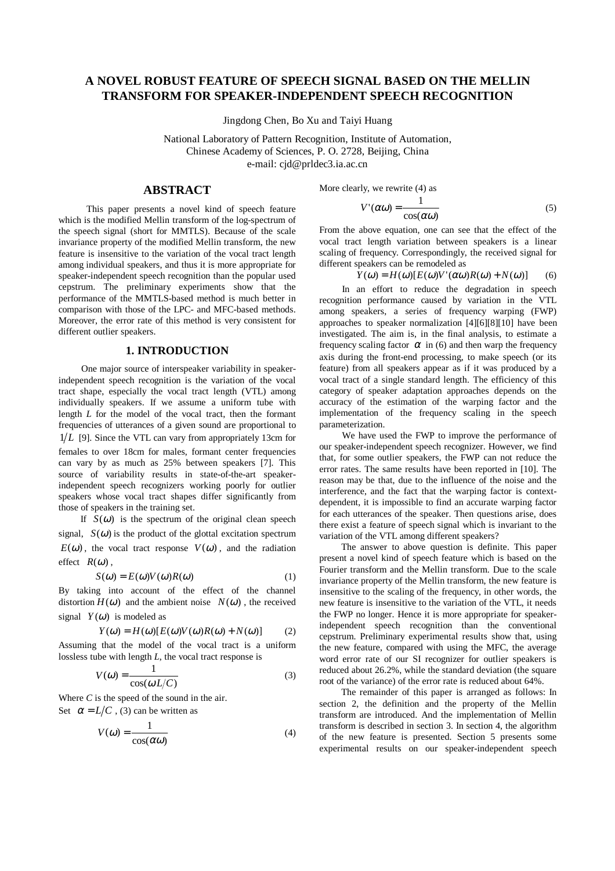# **A NOVEL ROBUST FEATURE OF SPEECH SIGNAL BASED ON THE MELLIN TRANSFORM FOR SPEAKER-INDEPENDENT SPEECH RECOGNITION**

Jingdong Chen, Bo Xu and Taiyi Huang

National Laboratory of Pattern Recognition, Institute of Automation, Chinese Academy of Sciences, P. O. 2728, Beijing, China e-mail: cjd@prldec3.ia.ac.cn

# **ABSTRACT**

 This paper presents a novel kind of speech feature which is the modified Mellin transform of the log-spectrum of the speech signal (short for MMTLS). Because of the scale invariance property of the modified Mellin transform, the new feature is insensitive to the variation of the vocal tract length among individual speakers, and thus it is more appropriate for speaker-independent speech recognition than the popular used cepstrum. The preliminary experiments show that the performance of the MMTLS-based method is much better in comparison with those of the LPC- and MFC-based methods. Moreover, the error rate of this method is very consistent for different outlier speakers.

## **1. INTRODUCTION**

One major source of interspeaker variability in speakerindependent speech recognition is the variation of the vocal tract shape, especially the vocal tract length (VTL) among individually speakers. If we assume a uniform tube with length *L* for the model of the vocal tract, then the formant frequencies of utterances of a given sound are proportional to  $1/L$  [9]. Since the VTL can vary from appropriately 13cm for females to over 18cm for males, formant center frequencies can vary by as much as  $25%$  between speakers [7]. This source of variability results in state-of-the-art speakerindependent speech recognizers working poorly for outlier speakers whose vocal tract shapes differ significantly from those of speakers in the training set.

If  $S(\omega)$  is the spectrum of the original clean speech signal,  $S(\omega)$  is the product of the glottal excitation spectrum  $E(\omega)$ , the vocal tract response  $V(\omega)$ , and the radiation effect  $R(\omega)$ ,

$$
S(\omega) = E(\omega)V(\omega)R(\omega)
$$
 (1)

By taking into account of the effect of the channel distortion  $H(\omega)$  and the ambient noise  $N(\omega)$ , the received signal  $Y(\omega)$  is modeled as

$$
Y(\omega) = H(\omega)[E(\omega)V(\omega)R(\omega) + N(\omega)] \tag{2}
$$

Assuming that the model of the vocal tract is a uniform lossless tube with length *L*, the vocal tract response is

$$
V(\omega) = \frac{1}{\cos(\omega L/C)}\tag{3}
$$

Where *C* is the speed of the sound in the air. Set  $\alpha = L/C$ , (3) can be written as

$$
V(\omega) = \frac{1}{\cos(\alpha \omega)}\tag{4}
$$

More clearly, we rewrite (4) as

$$
V'(\alpha \omega) = \frac{1}{\cos(\alpha \omega)}\tag{5}
$$

From the above equation, one can see that the effect of the vocal tract length variation between speakers is a linear scaling of frequency. Correspondingly, the received signal for different speakers can be remodeled as

$$
Y(\omega) = H(\omega)[E(\omega)V'(\alpha\omega)R(\omega) + N(\omega)] \tag{6}
$$

In an effort to reduce the degradation in speech recognition performance caused by variation in the VTL among speakers, a series of frequency warping (FWP) approaches to speaker normalization [4][6][8][10] have been investigated. The aim is, in the final analysis, to estimate a frequency scaling factor  $\alpha$  in (6) and then warp the frequency axis during the front-end processing, to make speech (or its feature) from all speakers appear as if it was produced by a vocal tract of a single standard length. The efficiency of this category of speaker adaptation approaches depends on the accuracy of the estimation of the warping factor and the implementation of the frequency scaling in the speech parameterization.

We have used the FWP to improve the performance of our speaker-independent speech recognizer. However, we find that, for some outlier speakers, the FWP can not reduce the error rates. The same results have been reported in [10]. The reason may be that, due to the influence of the noise and the interference, and the fact that the warping factor is contextdependent, it is impossible to find an accurate warping factor for each utterances of the speaker. Then questions arise, does there exist a feature of speech signal which is invariant to the variation of the VTL among different speakers?

The answer to above question is definite. This paper present a novel kind of speech feature which is based on the Fourier transform and the Mellin transform. Due to the scale invariance property of the Mellin transform, the new feature is insensitive to the scaling of the frequency, in other words, the new feature is insensitive to the variation of the VTL, it needs the FWP no longer. Hence it is more appropriate for speakerindependent speech recognition than the conventional cepstrum. Preliminary experimental results show that, using the new feature, compared with using the MFC, the average word error rate of our SI recognizer for outlier speakers is reduced about 26.2%, while the standard deviation (the square root of the variance) of the error rate is reduced about 64%.

The remainder of this paper is arranged as follows: In section 2, the definition and the property of the Mellin transform are introduced. And the implementation of Mellin transform is described in section 3. In section 4, the algorithm of the new feature is presented. Section 5 presents some experimental results on our speaker-independent speech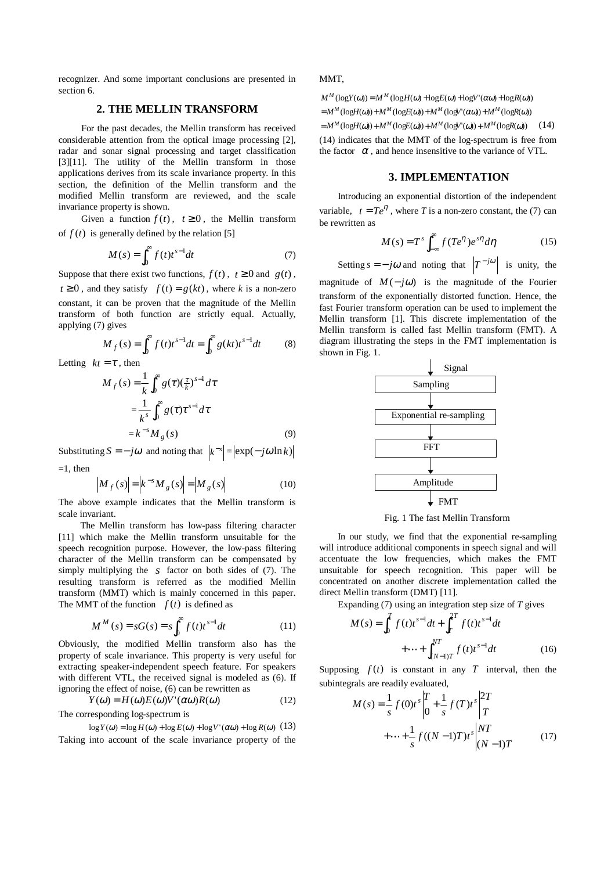recognizer. And some important conclusions are presented in section 6.

# **2. THE MELLIN TRANSFORM**

 For the past decades, the Mellin transform has received considerable attention from the optical image processing [2], radar and sonar signal processing and target classification [3][11]. The utility of the Mellin transform in those applications derives from its scale invariance property. In this section, the definition of the Mellin transform and the modified Mellin transform are reviewed, and the scale invariance property is shown.

Given a function  $f(t)$ ,  $t \ge 0$ , the Mellin transform of  $f(t)$  is generally defined by the relation [5]

$$
M(s) = \int_0^\infty f(t)t^{s-1}dt
$$
 (7)

Suppose that there exist two functions,  $f(t)$ ,  $t \ge 0$  and  $g(t)$ ,  $t \ge 0$ , and they satisfy  $f(t) = g(kt)$ , where *k* is a non-zero constant, it can be proven that the magnitude of the Mellin transform of both function are strictly equal. Actually, applying (7) gives

$$
M_f(s) = \int_0^\infty f(t)t^{s-1}dt = \int_0^\infty g(kt)t^{s-1}dt
$$
 (8)

Letting  $kt = \tau$ , then

$$
M_f(s) = \frac{1}{k} \int_0^{\infty} g(\tau) \left(\frac{\tau}{k}\right)^{s-1} d\tau
$$

$$
= \frac{1}{k^s} \int_0^{\infty} g(\tau) \tau^{s-1} d\tau
$$

$$
= k^{-s} M_g(s) \tag{9}
$$

Substituting  $S = -j\omega$  and noting that  $|k^{-s}| = |\exp(-j\omega \ln k)|$  $=1$  then

$$
\left| M_f(s) \right| = \left| k^{-s} M_g(s) \right| = \left| M_g(s) \right| \tag{10}
$$

 The above example indicates that the Mellin transform is scale invariant.

 The Mellin transform has low-pass filtering character [11] which make the Mellin transform unsuitable for the speech recognition purpose. However, the low-pass filtering character of the Mellin transform can be compensated by simply multiplying the *s* factor on both sides of (7). The resulting transform is referred as the modified Mellin transform (MMT) which is mainly concerned in this paper. The MMT of the function  $f(t)$  is defined as

$$
M^{M}(s) = sG(s) = s \int_{0}^{\infty} f(t) t^{s-1} dt
$$
 (11)

Obviously, the modified Mellin transform also has the property of scale invariance. This property is very useful for extracting speaker-independent speech feature. For speakers with different VTL, the received signal is modeled as (6). If ignoring the effect of noise, (6) can be rewritten as

$$
Y(\omega) = H(\omega)E(\omega)V'(\alpha\omega)R(\omega)
$$
 (12)

The corresponding log-spectrum is

log  $Y(\omega) = \log H(\omega) + \log E(\omega) + \log V'(\alpha \omega) + \log R(\omega)$  (13) Taking into account of the scale invariance property of the MMT,

 $M^M(\log Y(\omega)) = M^M(\log H(\omega) + \log E(\omega) + \log V'(\alpha \omega) + \log R(\omega))$  $=M^M(\text{log}H(\omega)) + M^M(\text{log}E(\omega)) + M^M(\text{log}V'(\alpha\omega)) + M^M(\text{log}R(\omega))$  $=M^M(\text{log}H(\omega)) + M^M(\text{log}E(\omega)) + M^M(\text{log}V'(\omega)) + M^M(\text{log}R(\omega))$  (14) (14) indicates that the MMT of the log-spectrum is free from the factor  $\alpha$ , and hence insensitive to the variance of VTL.

#### **3. IMPLEMENTATION**

 Introducing an exponential distortion of the independent variable,  $t = Te^{\eta}$ , where *T* is a non-zero constant, the (7) can be rewritten as

$$
M(s) = Ts \int_{-\infty}^{\infty} f(Te^{\eta}) e^{s\eta} d\eta
$$
 (15)

Setting  $s = -j\omega$  and noting that  $\left|T^{-j\omega}\right|$  is unity, the

magnitude of  $M(-j\omega)$  is the magnitude of the Fourier transform of the exponentially distorted function. Hence, the fast Fourier transform operation can be used to implement the Mellin transform [1]. This discrete implementation of the Mellin transform is called fast Mellin transform (FMT). A diagram illustrating the steps in the FMT implementation is shown in Fig. 1.



Fig. 1 The fast Mellin Transform

 In our study, we find that the exponential re-sampling will introduce additional components in speech signal and will accentuate the low frequencies, which makes the FMT unsuitable for speech recognition. This paper will be concentrated on another discrete implementation called the direct Mellin transform (DMT) [11].

Expanding (7) using an integration step size of *T* gives

$$
M(s) = \int_0^T f(t)t^{s-1}dt + \int_T^{2T} f(t)t^{s-1}dt + \dots + \int_{(N-1)T}^{NT} f(t)t^{s-1}dt
$$
 (16)

Supposing  $f(t)$  is constant in any *T* interval, then the subintegrals are readily evaluated,

$$
M(s) = \frac{1}{s} f(0)t^s \Big|_0^T + \frac{1}{s} f(T)t^s \Big|_T^{2T}
$$
  
 
$$
+ \dots + \frac{1}{s} f((N-1)T)t^s \Big|_0^{NT} (N-1)T
$$
 (17)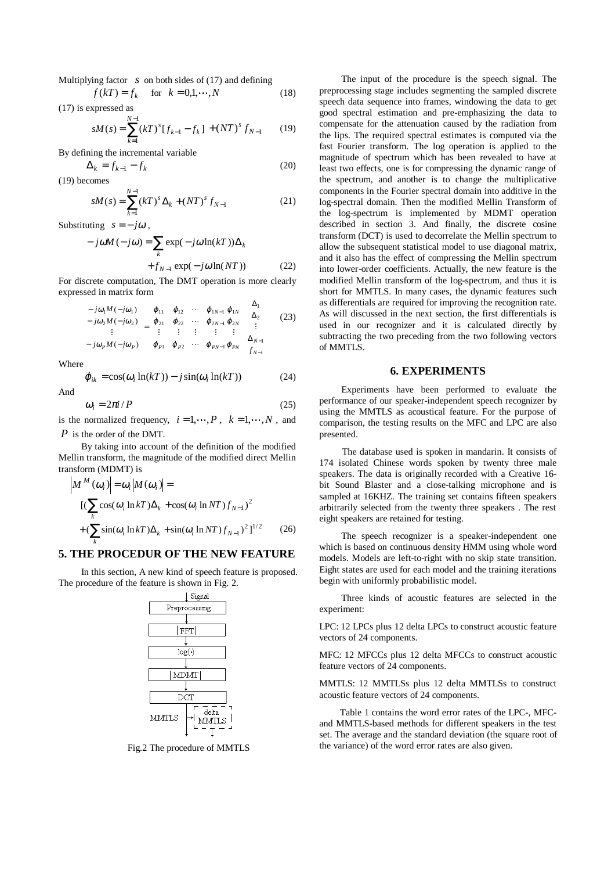Multiplying factor *s* on both sides of (17) and defining  

$$
f(kT) = f_k
$$
 for  $k = 0,1,...,N$  (18)

(17) is expressed as

$$
sM(s) = \sum_{k=1}^{N-1} (kT)^s [f_{k-1} - f_k] + (NT)^s f_{N-1}
$$
 (19)

By defining the incremental variable

$$
\Delta_k = f_{k-1} - f_k \tag{20}
$$
 becomes

(19) becomes

$$
sM(s) = \sum_{k=1}^{N-1} (kT)^s \Delta_k + (NT)^s f_{N-1}
$$
 (21)

Substituting  $s = -j\omega$ ,

$$
- j\omega M (- j\omega) = \sum_{k} \exp(- j\omega \ln(kT)) \Delta_k
$$

$$
+ f_{N-1} \exp(- j\omega \ln(NT)) \qquad (22)
$$

 For discrete computation, The DMT operation is more clearly expressed in matrix form

$$
\begin{bmatrix} -j\omega_1 M(-j\omega_1) \\ -j\omega_2 M(-j\omega_2) \\ \vdots \\ -j\omega_p M(-j\omega_p) \end{bmatrix} = \begin{bmatrix} \varphi_{11} & \varphi_{12} & \cdots & \varphi_{1N-1} & \varphi_{1N} \\ \varphi_{21} & \varphi_{22} & \cdots & \varphi_{2N-1} & \varphi_{2N} \\ \vdots & \vdots & \vdots & \vdots \\ \varphi_{P1} & \varphi_{P2} & \cdots & \varphi_{PN-1} & \varphi_{PN} \end{bmatrix} \begin{bmatrix} \Delta_1 \\ \Delta_2 \\ \vdots \\ \Delta_{N-1} \\ f_{N-1} \end{bmatrix}
$$
(23)

Where

$$
\varphi_{ik} = \cos(\omega_i \ln(kT)) - j\sin(\omega_i \ln(kT))
$$
\nAnd

$$
\omega_i = 2\pi i / P \tag{25}
$$

is the normalized frequency,  $i = 1, \dots, P$ ,  $k = 1, \dots, N$ , and *P* is the order of the DMT.

 By taking into account of the definition of the modified Mellin transform, the magnitude of the modified direct Mellin transform (MDMT) is

$$
\left| M^{M}(\omega_{i}) \right| = \omega_{i} \left| M(\omega_{i}) \right| =
$$
  
\n
$$
\left[ \left( \sum_{k} \cos(\omega_{i} \ln kT) \Delta_{k} + \cos(\omega_{i} \ln NT) f_{N-1} \right)^{2} + \left( \sum_{k} \sin(\omega_{i} \ln kT) \Delta_{k} + \sin(\omega_{i} \ln NT) f_{N-1} \right)^{2} \right]^{1/2}
$$
 (26)

## **5. THE PROCEDUR OF THE NEW FEATURE**

In this section, A new kind of speech feature is proposed. The procedure of the feature is shown in Fig. 2.



Fig.2 The procedure of MMTLS

The input of the procedure is the speech signal. The preprocessing stage includes segmenting the sampled discrete speech data sequence into frames, windowing the data to get good spectral estimation and pre-emphasizing the data to compensate for the attenuation caused by the radiation from the lips. The required spectral estimates is computed via the fast Fourier transform. The log operation is applied to the magnitude of spectrum which has been revealed to have at least two effects, one is for compressing the dynamic range of the spectrum, and another is to change the multiplicative components in the Fourier spectral domain into additive in the log-spectral domain. Then the modified Mellin Transform of the log-spectrum is implemented by MDMT operation described in section 3. And finally, the discrete cosine transform (DCT) is used to decorrelate the Mellin spectrum to allow the subsequent statistical model to use diagonal matrix, and it also has the effect of compressing the Mellin spectrum into lower-order coefficients. Actually, the new feature is the modified Mellin transform of the log-spectrum, and thus it is short for MMTLS. In many cases, the dynamic features such as differentials are required for improving the recognition rate. As will discussed in the next section, the first differentials is used in our recognizer and it is calculated directly by subtracting the two preceding from the two following vectors of MMTLS.

#### **6. EXPERIMENTS**

Experiments have been performed to evaluate the performance of our speaker-independent speech recognizer by using the MMTLS as acoustical feature. For the purpose of comparison, the testing results on the MFC and LPC are also presented.

The database used is spoken in mandarin. It consists of 174 isolated Chinese words spoken by twenty three male speakers. The data is originally recorded with a Creative 16 bit Sound Blaster and a close-talking microphone and is sampled at 16KHZ. The training set contains fifteen speakers arbitrarily selected from the twenty three speakers . The rest eight speakers are retained for testing.

The speech recognizer is a speaker-independent one which is based on continuous density HMM using whole word models. Models are left-to-right with no skip state transition. Eight states are used for each model and the training iterations begin with uniformly probabilistic model.

Three kinds of acoustic features are selected in the experiment:

LPC: 12 LPCs plus 12 delta LPCs to construct acoustic feature vectors of 24 components.

MFC: 12 MFCCs plus 12 delta MFCCs to construct acoustic feature vectors of 24 components.

MMTLS: 12 MMTLSs plus 12 delta MMTLSs to construct acoustic feature vectors of 24 components.

Table 1 contains the word error rates of the LPC-, MFCand MMTLS-based methods for different speakers in the test set. The average and the standard deviation (the square root of the variance) of the word error rates are also given.